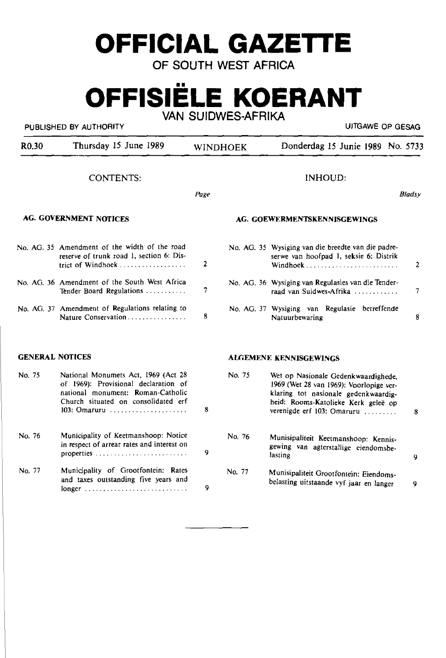# **OFFICIAL GAZETTE**

OF SOUTH WEST AFRICA

# **OFFISIELE KOERANT**  VAN SUIDWES·AFRIKA

# PUBLISHED BY AUTHORITY **EXECUTE A SECOND TEST OF SECOND ACTIVITY** UJTGAWE OP GESAG

| R <sub>0.30</sub>             | Thursday 15 June 1989                                                                                                                                                   |                | <b>WINDHOEK</b> | Donderdag 15 Junie 1989 No. 5733                                                                                                                                                            |               |
|-------------------------------|-------------------------------------------------------------------------------------------------------------------------------------------------------------------------|----------------|-----------------|---------------------------------------------------------------------------------------------------------------------------------------------------------------------------------------------|---------------|
|                               | <b>CONTENTS:</b>                                                                                                                                                        |                |                 | <b>INHOUD:</b>                                                                                                                                                                              |               |
|                               |                                                                                                                                                                         | Page           |                 |                                                                                                                                                                                             | <b>Bladsy</b> |
| <b>AG. GOVERNMENT NOTICES</b> |                                                                                                                                                                         |                |                 | AG. GOEWERMENTSKENNISGEWINGS                                                                                                                                                                |               |
|                               | No. AG. 35 Amendment of the width of the road<br>reserve of trunk road 1, section 6: Dis-<br>trict of Windhoek                                                          | $\overline{2}$ |                 | No. AG. 35 Wysiging van die breedte van die padre-<br>serwe van hoofpad 1, seksie 6: Distrik                                                                                                | 2             |
|                               | No. AG. 36 Amendment of the South West Africa<br>Tender Board Regulations                                                                                               | 7              |                 | No. AG. 36 Wysiging van Regulasies van die Tender-<br>raad van Suidwes-Afrika                                                                                                               | 7             |
|                               | No. AG. 37 Amendment of Regulations relating to                                                                                                                         | 8              |                 | No. AG. 37 Wysiging van Regulasie betreffende<br>Natuurbewaring                                                                                                                             | 8             |
| <b>GENERAL NOTICES</b>        |                                                                                                                                                                         |                |                 | <b>ALGEMENE KENNISGEWINGS</b>                                                                                                                                                               |               |
| No. 75                        | National Monumets Act, 1969 (Act 28<br>of 1969): Provisional declaration of<br>national monument: Roman-Catholic<br>Church situated on consolidated erf<br>103: Omaruru | 8              | No. 75          | Wet op Nasionale Gedenkwaardighede,<br>1969 (Wet 28 van 1969): Voorlopige ver-<br>klaring tot nasionale gedenkwaardig-<br>heid: Rooms-Katolieke Kerk geleë op<br>verenigde erf 103: Omaruru | 8             |
| No. 76                        | Municipality of Keetmanshoop: Notice<br>in respect of arrear rates and interest on                                                                                      | 9              | No. 76          | Munisipaliteit Keetmanshoop: Kennis-<br>gewing van agterstallige eiendomsbe-<br>lasting                                                                                                     | 9             |
| No. 77                        | Municipality of Grootfontein: Rates<br>and taxes outstanding five years and                                                                                             | 9              | No. 77          | Munisipaliteit Grootfontein: Eiendoms-<br>belasting uitstaande vyf jaar en langer                                                                                                           | 9             |
|                               |                                                                                                                                                                         |                |                 |                                                                                                                                                                                             |               |